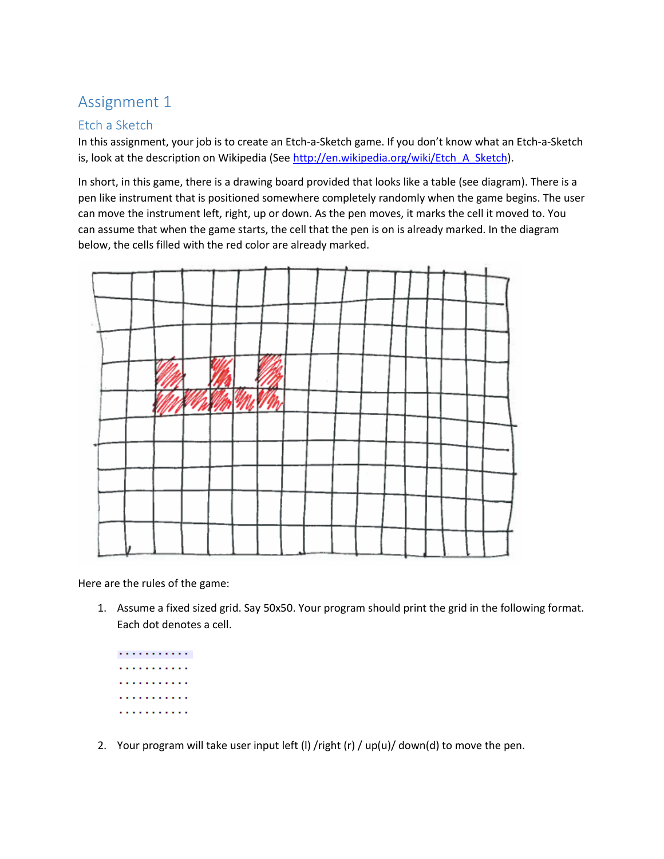## Assignment 1

## Etch a Sketch

In this assignment, your job is to create an Etch-a-Sketch game. If you don't know what an Etch-a-Sketch is, look at the description on Wikipedia (See [http://en.wikipedia.org/wiki/Etch\\_A\\_Sketch\)](http://en.wikipedia.org/wiki/Etch_A_Sketch).

In short, in this game, there is a drawing board provided that looks like a table (see diagram). There is a pen like instrument that is positioned somewhere completely randomly when the game begins. The user can move the instrument left, right, up or down. As the pen moves, it marks the cell it moved to. You can assume that when the game starts, the cell that the pen is on is already marked. In the diagram below, the cells filled with the red color are already marked.



Here are the rules of the game:

1. Assume a fixed sized grid. Say 50x50. Your program should print the grid in the following format. Each dot denotes a cell.



2. Your program will take user input left (I) /right (r) / up(u)/ down(d) to move the pen.